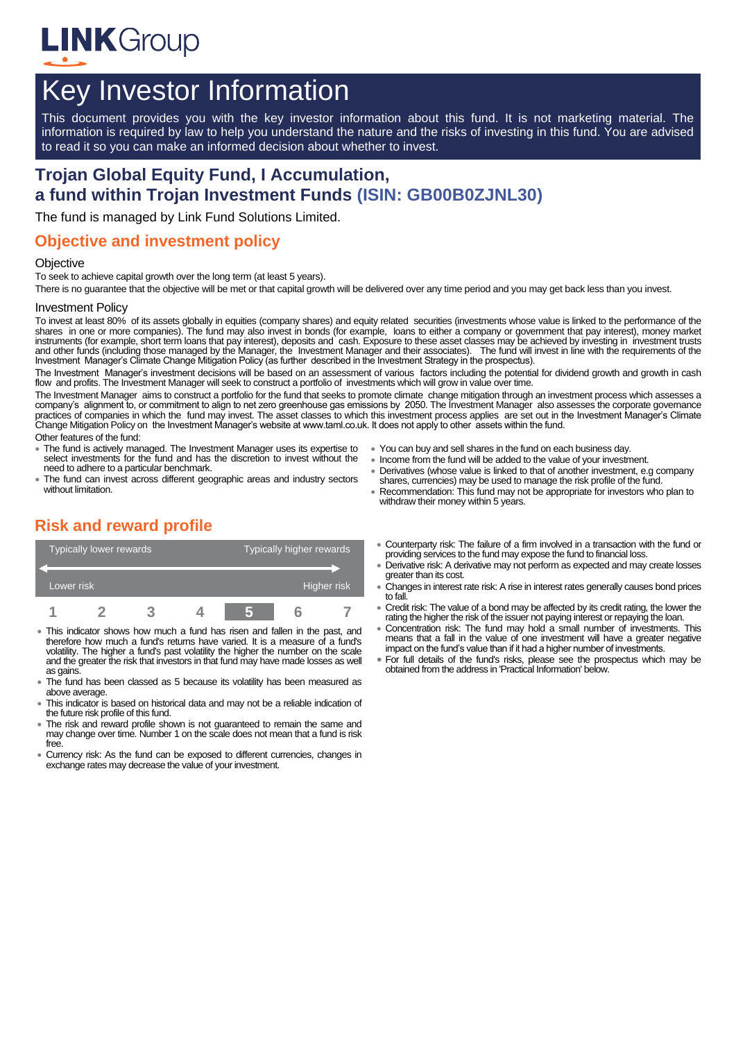

# Key Investor Information

This document provides you with the key investor information about this fund. It is not marketing material. The information is required by law to help you understand the nature and the risks of investing in this fund. You are advised to read it so you can make an informed decision about whether to invest.

# **Trojan Global Equity Fund, I Accumulation, a fund within Trojan Investment Funds (ISIN: GB00B0ZJNL30)**

The fund is managed by Link Fund Solutions Limited.

### **Objective and investment policy**

#### **Objective**

To seek to achieve capital growth over the long term (at least 5 years).

There is no guarantee that the objective will be met or that capital growth will be delivered over any time period and you may get back less than you invest.

#### Investment Policy

To invest at least 80% of its assets globally in equities (company shares) and equity related securities (investments whose value is linked to the performance of the shares in one or more companies). The fund may also invest in bonds (for example, loans to either a company or government that pay interest), money market instruments (for example, short term loans that pay interest), deposits and cash. Exposure to these asset classes may be achieved by investing in investment trusts and other funds (including those managed by the Manager, the Investment Manager and their associates). The fund will invest in line with the requirements of the Investment Manager's Climate Change Mitigation Policy (as further described in the Investment Strategy in the prospectus).

The Investment Manager's investment decisions will be based on an assessment of various factors including the potential for dividend growth and growth in cash flow and profits. The Investment Manager will seek to construct a portfolio of investments which will grow in value over time.

The Investment Manager aims to construct a portfolio for the fund that seeks to promote climate change mitigation through an investment process which assesses a company's alignment to, or commitment to align to net zero greenhouse gas emissions by 2050. The Investment Manager also assesses the corporate governance practices of companies in which the fund may invest. The asset classes to which this investment process applies are set out in the Investment Manager's Climate Change Mitigation Policy on the Investment Manager's website at www.taml.co.uk. It does not apply to other assets within the fund.

Other features of the fund:

- The fund is actively managed. The Investment Manager uses its expertise to select investments for the fund and has the discretion to invest without the need to adhere to a particular benchmark.
- The fund can invest across different geographic areas and industry sectors without limitation.
- You can buy and sell shares in the fund on each business day.
- Income from the fund will be added to the value of your investment.
- Derivatives (whose value is linked to that of another investment, e.g company shares, currencies) may be used to manage the risk profile of the fund.
- Recommendation: This fund may not be appropriate for investors who plan to withdraw their money within 5 years.

# **Risk and reward profile**



- This indicator shows how much a fund has risen and fallen in the past, and therefore how much a fund's returns have varied. It is a measure of a fund's volatility. The higher a fund's past volatility the higher the number on the scale and the greater the risk that investors in that fund may have made losses as well as gains.
- The fund has been classed as 5 because its volatility has been measured as above average.
- This indicator is based on historical data and may not be a reliable indication of the future risk profile of this fund.
- The risk and reward profile shown is not guaranteed to remain the same and may change over time. Number 1 on the scale does not mean that a fund is risk free.
- Currency risk: As the fund can be exposed to different currencies, changes in exchange rates may decrease the value of your investment.
- Counterparty risk: The failure of a firm involved in a transaction with the fund or providing services to the fund may expose the fund to financial loss.
- Derivative risk: A derivative may not perform as expected and may create losses greater than its cost.
- Changes in interest rate risk: A rise in interest rates generally causes bond prices to fall.
- Credit risk: The value of a bond may be affected by its credit rating, the lower the rating the higher the risk of the issuer not paying interest or repaying the loan.
- Concentration risk: The fund may hold a small number of investments. This means that a fall in the value of one investment will have a greater negative impact on the fund's value than if it had a higher number of investments.
- For full details of the fund's risks, please see the prospectus which may be obtained from the address in 'Practical Information' below.